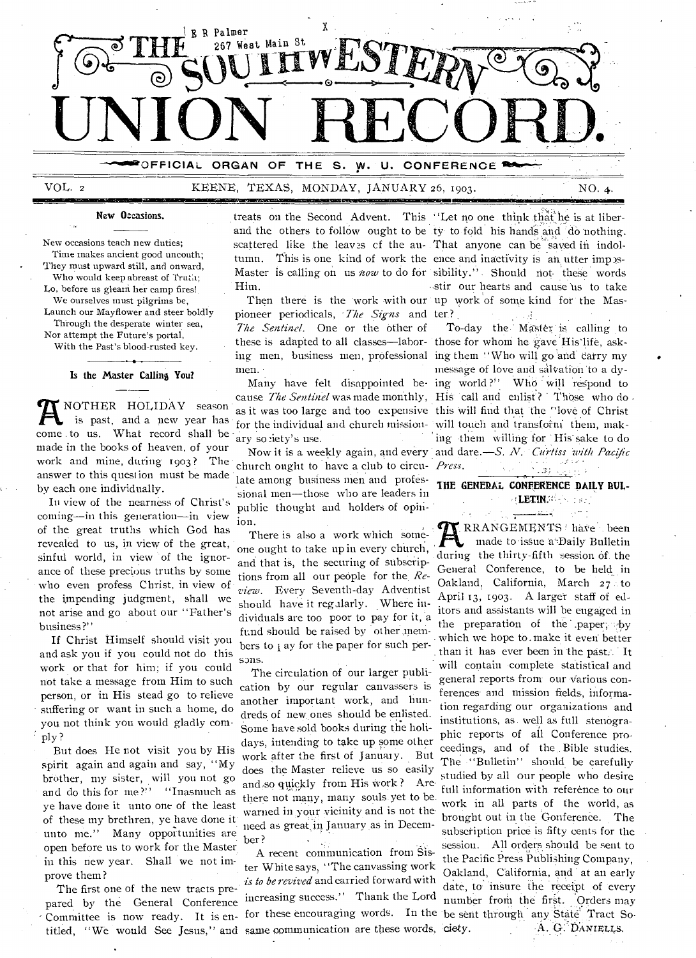

OFFICIAL **ORGAN** OF THE s. w. U. **CONFERENCE** 

#### KEENE, TEXAS, MONDAY, JANUARY 26, 1903.

New Occasions.

New occasions teach new duties; Time makes ancient good uncouth; They must upward still, and onward. Who would keep abreast of Truth; Lo, before us gleam her camp fires! We ourselves must pilgrims be, Launch our Mayflower and steer boldly Through the desperate winter sea. Nor attempt the Future's portal,

With the Past's blood-rusted key.

#### Is the Master Calling You?

NOTHER HOLIDAY season is past, and a new year has come to us. What record shall be made in the books of heaven, of your work and mine, during 1903? The answer to this question must be made by each one individually.

In view of the nearness of Christ's coming--in this generation--in view of the great truths which God has revealed to us, in view of the great, sinful world, in view of the ignorance of these precious truths by some who even profess Christ, in view of the impending judgment, shall we not arise and go about our "Father's business?"

If Christ Himself should visit you and ask you if you could not do this work or that for him; if you could not take a message from Him to such person, or in His stead go to relieve suffering or want in such a home, do you not think you would gladly comply?

But does He not visit you by His spirit again and again and say, "My brother, my sister, will you not go and do this for me?" "Inasmuch as ve have done it unto one of the least of these my brethren, ye have done it unto me." Many opportunities are open before us to work for the Master in this new year. Shall we not improve them?

The first one of the new tracts prepared by the General Conference Committee is now ready. It is entitled, "We would See Jesus," and same communication are these words, ciety.

treats on the Second Advent. This "Let no one think that he is at liber-Him.

pioneer periodicals, The Signs and ter? The Sentinel. One or the other of these is adapted to all classes—labor- those for whom he gave His life, asking men, business men, professional ing them "Who will go and carry my men.

as it was too large and too expensive this will find that the "love of Christ for the individual and church mission- will touch and transform them, makarv society's use.

church ought to have a club to circu- *Press*. late among business men and professional men-those who are leaders in public thought and holders of opinion.

There is also a work which someone ought to take up in every church, and that is, the securing of subscriptions from all our people for the Review. Every Seventh-day Adventist should have it regularly. Where individuals are too poor to pay for it, a fund should be raised by other members to j ay for the paper for such persons.

The circulation of our larger publication by our regular canvassers is another important work, and hundreds of new ones should be enlisted. Some have sold books during the holidays, intending to take up some other work after the first of January. But does the Master relieve us so easily and so quickly from His work? Are there not many, many souls yet to be. warned in your vicinity and is not the need as great in January as in December?

A recent communication from Sister Whitesays, "The canvassing work is to be revived and carried forward with increasing success." Thank the Lord

and the others to follow ought to be ty to fold his hands and do nothing. scattered like the leaves of the au- That anyone can be saved in indoltumn. This is one kind of work the ence and inactivity is an utter impos-Master is calling on us now to do for sibility." Should not these words stir our hearts and cause us to take Then there is the work with our up work of some kind for the Mas-

NO. 4.

To-day the Master is calling to message of love and salvation to a dy-Many have felt disappointed be ing world?'' Who will respond to cause The Sentinel was made monthly, His call and enlist? Those who do ing them willing for His sake to do Now it is a weekly again, and every and dare .- S. N. Curtiss with Pacific

#### THE GENERAL CONFERENCE DAILY BUL-**ELETING CONTRACT**

كالتنقذيب

RRANGEMENTS have been made to issue a Daily Bulletin during the thirty-fifth session of the General Conference, to be held in Oakland, California, March 27 to April 13, 1903. A larger staff of editors and assistants will be engaged in the preparation of the paper, by which we hope to make it even better than it has ever been in the past. It will contain complete statistical and general reports from our various conferences and mission fields, information regarding our organizations and institutions, as well as full stenographic reports of all Conference proceedings, and of the Bible studies. The "Bulletin" should be carefully studied by all our people who desire full information with reference to our work in all parts of the world, as brought out in the Gonference. The subscription price is fifty cents for the session. All orders should be sent to the Pacific Press Publishing Company. Oakland, California, and at an early date, to insure the receipt of every number from the first. Orders may for these encouraging words. In the be sent through any State Tract So-A. G. DANIELLS.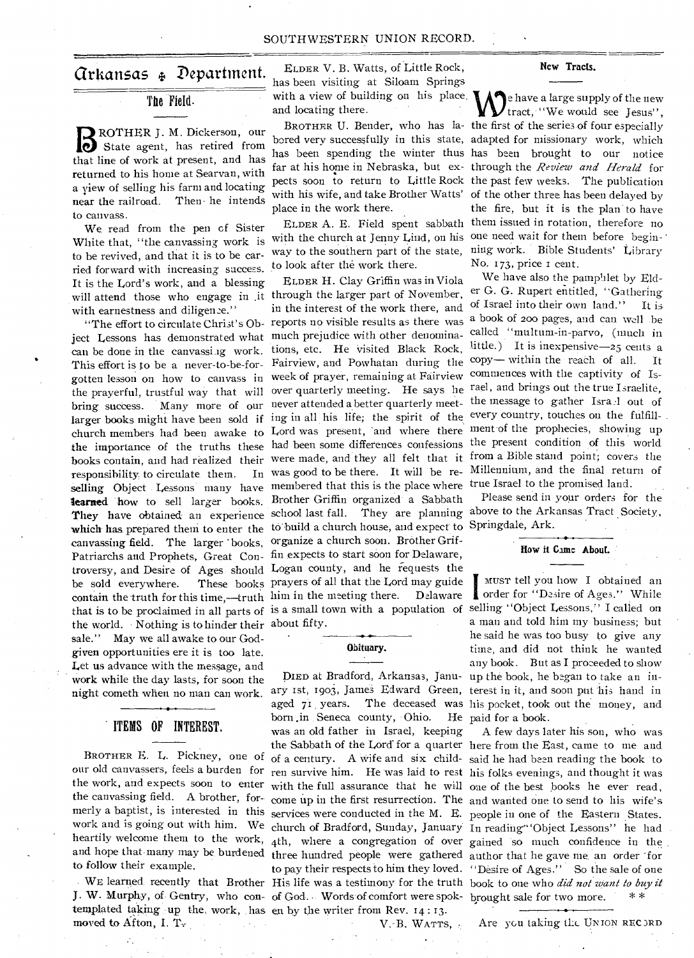# Arkansas Department.

# The Field.

**B** ROTHER J. M. Dickerson, our<br> **B** State agent, has retired from State agent, has retired from that line of work at present, and has returned to his home at Searvan, with a yiew of selling his farm and locating near the railroad. Then • he intends to canvass.

We read from the pen cf Sister White that, "the canvassing work is to be revived, and that it is to be carried forward with increasing success. It is the Lord's work, and a blessing with earnestness and diligence."

ject Lessons has demonstrated what much prejudice with other denominacan be done in the canvassing work. This effort is to be a never-to-be-for-Fairview, and Powhatan during the gotten lesson on how to canvass in week of prayer, remaining at Fairview bring success. Many more of our never attended a better quarterly meetresponsibility to circulate them. selling Object Lessons many have membered that this is the place where learned how to sell larger books. Brother Griffin organized a Sabbath which has prepared them to enter the to build a church house, and expect to Springdale, Ark. canvassing field. The larger books, organize a church soon. Brother Grif-Patriarchs and Prophets, Great Con-fin expects to start soon for Delaware, be sold everywhere. contain the truth for this time,—truth him in the meeting there. Delaware that is to be proclaimed in all parts of is a small town with a population of the world. • Nothing is to hinder their about fifty. sale." May we all awake to our Godgiven opportunities ere it is too late. Let us advance with the message, and work while the day lasts, for soon the

### ITEMS OF INTEREST.

BROTHER E. L. Pickney, one of our old canvassers, feels a burden for the work, and expects soon to enter the canvassing field. A brother, formerly a baptist, is interested in this work and is going out with him. We to follow their example.

templated taking up the work, has en by the writer from Rev. 14:13. moved to Afton, I.

ELDER V. B. Watts, of Little Rock, has been visiting at Siloam Springs with a view of building on his place. and locating there.

place in the work there.

with the church at Jenny Lind, on his one need wait for them before begin-' way to the southern part of the state, ning work. Bible Students' Library to look after the work there.

will attend those who engage in .it through the larger part of November, "The effort to circulate Christ's Ob- reports no visible results as there was society tesson on now to cancel in over quarterly meeting. He says he rael, and brings out the true I sraelite, larger books might have been sold if ing in all his life; the spirit of the every country, touches on the fulfillchurch members had been awake to Lord was present, 'and where there ment-of the prophecies, showing up the importance of the truths these had been some differences confessions the present condition of this world books contain, and had realized their were made, and they all felt that it from a Bible stand point; covers the They have obtained an experience school last fall. They are planning above to the Arkansas Tract Society, troversy, and Desire of Ages should Logan county, and he requests the ELDER H. Clay Griffin was in Viola in the interest of the work there, and tions, etc. He visited Black Rock, In was good to be there. It will be re-These books prayers of all that the Lord may guide

#### **Obituary.**

night cometh when no man can work. ary 1st, 1903, James Edward Green, terest in it, and soon put his hand in **J. W.** Murphy, of Gentry, who con-of God.- Words of comfort were spok-brought sale for two more. \* \* born .in Seneca county, Ohio. was an old father in Israel, keeping

V.-B. WATTS, •

#### **New Tracts.**

BROTHER U. Bender, who has **la-**the first of the series-of four especially **bored** very successfully in this state, adapted for missionary work, which has been spending the winter thus has been brought to our notice far at his home in Nebraska, but ex-through the *Review and Herald* for pects soon to return to Little Rock the past few weeks. The publication with his wife, and take Brother Watts' of the other three has been delayed by ELDER A. E. Field spent sabbath them issued in rotation, therefore no e have a large supply of the new tract, "We would see Jesus". the fire, but it is the plan to have No. 173, price i cent.

> We have also the pamphlet by Elder G. G. Rupert entitled, "Gathering of Israel into their own land." It is a book of 200 pages, and can well .be called "multum-in-parvo, (much in little.) It is inexpensive- $25$  cents a copy— within the reach of all. It commences with the captivity of Isthe message to gather Isra.1 out of Millennium, and the final return of true Israel to the promised land.

Please send in your orders for the

#### **How it Came About.**

DIED at Bradford, Arkansas, Janu-up the book, he began to take an inaged 71 years. The deceased was his pocket, took out the money, and I musr tell you how I obtained an order for "Desire of Ages." While selling "Object Lessons,'' I called on a man and told him my business; but he said he was too busy to give any time, and did not think he wanted any book. But as I proceeded to show He paid for a book.

heartily welcome them to the work, 4th, where a congregation of over gained so much confidence in the and hope that many may be burdened three hundred people were gathered author that he gave me an order for WE learned recently that Brother His life was a testimony for the truth book to one who *did not want to buy it* the Sabbath of the Lord for a quarter here from the East, came to me and of a century. A wife and six child-said he had been reading the book to ren survive him. He was laid to rest his folks evenings, and thought it was with the full assurance that he will one of the best books he ever read, come up in the first resurrection. The and wanted one to send to his wife's services were conducted in the M. E. people in one of the Eastern States. church of Bradford, Sunday, January In reading" Object Lessons" he had to pay their respects to him they loved. "Desire of Ages." So the sale of one , A few days later his son, who was

Are you taking the UNION RECORD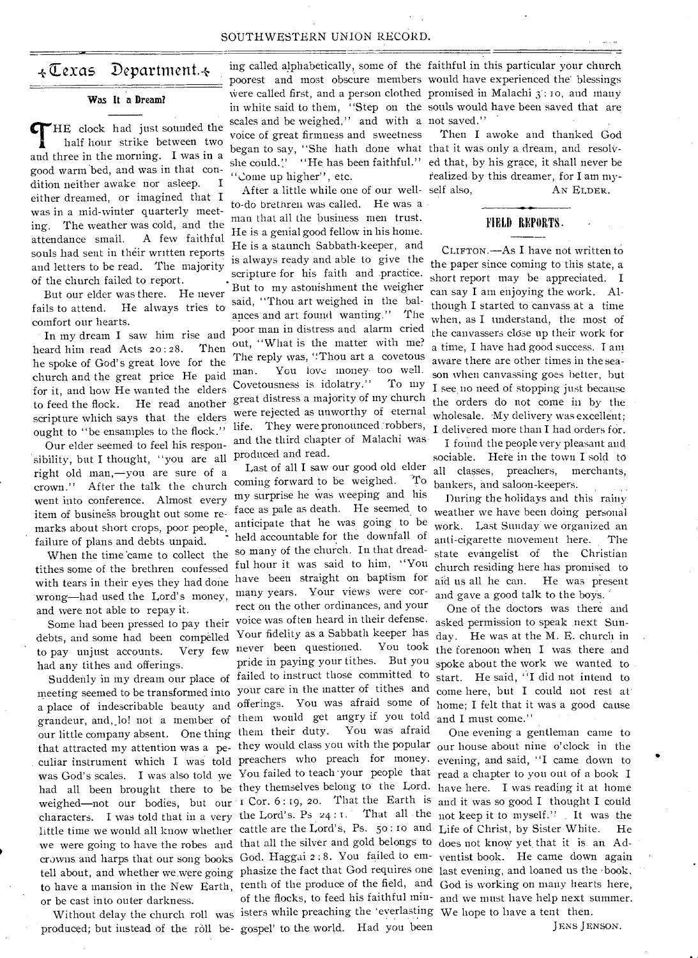#### SOUTHWESTERN UNION RECORD.

# +Texas Department.+

#### **Was It a Dream?**

HE clock had just sounded the half hour strike between two and three in the morning. I was in a good warm bed, and was in that condition neither awake nor asleep. I either dreamed, or imagined that I was in a mid-winter quarterly meeting. The weather was cold, and the attendance small. A few faithful souls had sent in their written reports and letters to be read. The majority of the church failed to report.

But our elder was there. He never fails to attend. comfort our hearts. He always tries to

In my dream I saw him rise and heard him read Acts  $20:28$ . Then he spoke of God's great love for the church and the great price He paid for it, and how He wanted the elders to feed the flock. He read another scripture which says that the elders ought to "be ensamples to the flock."

Our elder seemed to feel his responsibility, but I thought, "you are all right old man,—you are sure of a crown." After the talk the church went into conference. Almost every item of business brought out some remarks about short crops, poor people, failure of plans and debts unpaid.

When the time 'came to collect the tithes some of the brethren confessed wrong—had used the Lord's money, and were not able to repay it.

debts, and some had been compelled Your fidelity as a Sabbath keeper has to pay unjust accounts. Very few had any tithes and offerings.

meeting seemed to be transformed into your care in the matter of tithes and a place of indescribable beauty and offerings. You was afraid some of grandeur, and, lo! not a member of them would get angry if you told our little company absent. One thing them their duty. You was afraid that attracted my attention was a pe- they would class you with the popular culiar instrument which I was told preachers who preach for money. was God's scales. I was also told we You failed to teach your people that had all been brought there to be they themselves belong to the Lord. weighed-not our bodies, but our I Cor. 6:19, 20. That the Earth is characters. I was told that in a very the Lord's. Ps 24 : r. - That all - the little time we would all know whether cattle are the Lord's, Ps. 5o : io and

produced; but instead of the roll be-gospel' to the world. Had you been

poorest and most obscure members would have experienced the blessings were called first, and a person clothed promised in Malachi 3: 10, and many in white said to them, "Step on the souls would have been saved that are scales and be weighed," and with a not saved." voice of great firmness and sweetness began to say, "She hath done what that it was only a dream, and resolvshe could." "He has been faithful." ed that, by his grace, it shall never be 'Come up higher", etc.

After a little while one of our well- self also, to-do brethren was called. He was a man that all the business men trust. He is a genial good fellow in his home. He is a staunch Sabbath-keeper, and is always ready and able to give the scripture for his faith and .practice. But my astonishment the weigher said, "Thou art weighed in the balances and art found wanting." The poor man in distress and alarm cried out, "What is the matter with me? The reply was, "Thou art a covetous man. You love money too well. Covetousness is idolatry." To my great distress a majority of my church were rejected as unworthy of eternal life. They were pronounced:robbers, and the third chapter of Malachi was produced and read.

Some had been pressed to pay their voice was often heard in their defense. Suddenly in my dream our place of failed to instruct those committed to ful hour it was said to him, "You church residing here has promised to many years. Your views were correct on the other ordinances, and your never been questioned. You took pride in paying your tithes. But you we were going to have the robes and that all the silver and gold belongs to does not know yet that it is an Adcrowns and harps that our song books God. Haggai 2 : 8. You failed to em-ventist book. He came down again tell about, and whether we were going phasize the fact that God requires one last evening, and loaned us the 'book. to have a mansion in the New Earth, tenth of the produce of the field, and God is working on many hearts here, or be cast into outer darkness. of the flocks, to feed his faithful min- and we must have help next summer. Without delay the church roll was isters while preaching the 'everlasting We hope to have a tent then. Last of all I saw our good old elder coming forward to be weighed. To my surprise he was weeping and his face as pale as death. He seemed to anticipate that he was going to be held accountable for the downfall of so many of the church. In that dread-

ing called alphabetically, some of the faithful in this particular your church

Then I awoke and thanked God realized by this dreamer, for I am my-AN ELDER.

#### FIELD REPORTS.

can say I am enjoying the work. Although I started to canvass at a time when, as I understand, the most of the canvassers close up their work for a time, I have had good success. I am aware there are other times in the season when canvassing goes better, but I see.no need of stopping just because the orders do not come in by the wholesale. My delivery was excellent; I delivered more than I had orders for. CLIFTON.—As I have not written to the paper since coming to this state, a short report may be appreciated. I

I found the people very pleasant and sociable. Here in the town **I** sold to all classes, preachers, merchants, bankers, and saloon-keepers.

with tears in their eyes they had done have been straight on baptism for aid us all he can. He was present During the holidays and this rainy weather we have been doing personal work. Last Sunday.we organized an anti-cigarette movement here. The state evangelist of the Christian and gave a good talk to the boys..

> One of the doctors was there and asked permission to speak .next Sunday. He was at the M. E. church in the forenoon when I was. there and spoke about the work we wanted to start. He said, "I did not intend to come here, but I could not rest at' home; I felt that it was a good cause and I must come."

> One evening a gentleman came to our house about nine o'clock in the evening, and said, "I came down to read a chapter to you out of a book I have here. I was reading it at home and it was so good I thought I could not keep it to myself." It was the Life of Christ, by Sister White. He

> > JENS JENSON.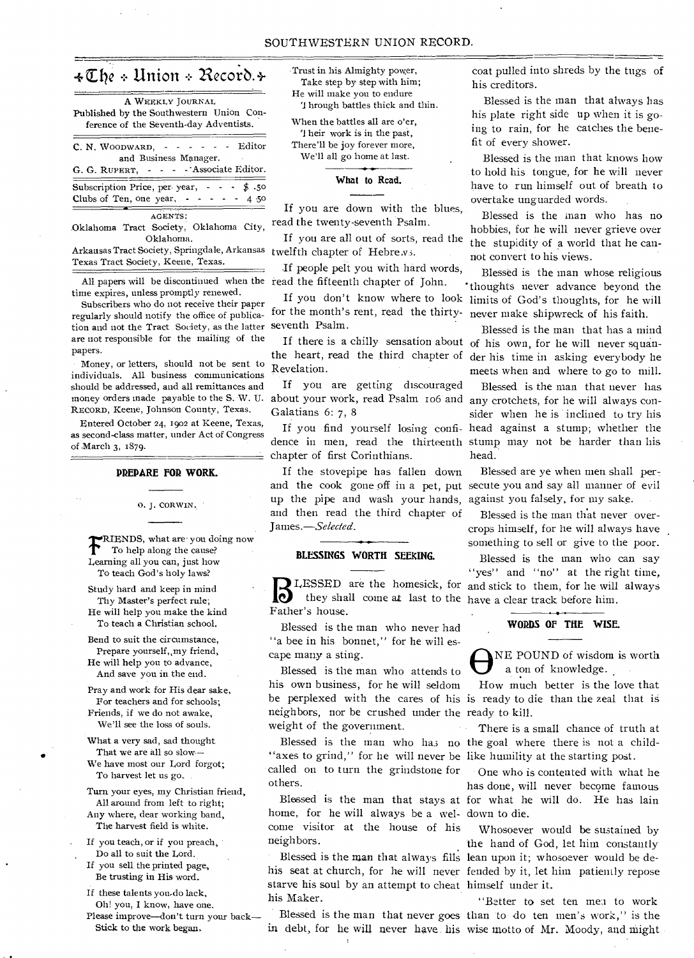# $\texttt{*The} \cdot \texttt{Union} \cdot \texttt{Recor}$ .

| A WEEKLY JOURNAL<br>Published by the Southwestern Union Con- |
|--------------------------------------------------------------|
| ference of the Seventh-day Adventists.                       |
|                                                              |
|                                                              |
| and Business Manager.                                        |
| G. G. RUPERT, - - - - Associate Editor.                      |
| Subscription Price, per year, $\sim$ $\sim$ \$.50            |
| Clubs of Ten, one year, $\cdot \cdot \cdot$ - - -<br>4 50    |
| AGENTS:                                                      |
| Oklahoma City.<br>Oklahoma Tract Society                     |

Oklahoma Tract Society, Oklahoma City, Oklahoma.

Arkansas Tract Society, Springdale, Arkansas Texas Tract Society, Keene, Texas.

All papers will be discontinued when the read the fifteenth chapter of John. time expires, unless promptly renewed.

Subscribers who do not receive their paper regularly should notify the office of publication and not the Tract Society, as the latter seventh Psalm. are not responsible for the mailing of the papers.

Money, or letters, should not be sent to individuals. All business communications should be addressed, and all remittances and RECORD, Keene, Johnson County, Texas.

Entered October 24, 1902 at Keene, Texas, as second-class matter, under Act of Congress of March 3, 1879.

#### **PREPARE FOR WORK.**

0. J. CORWIN.

 $\mathbf T$ RIENDS, what are you doing now To help along the cause? Learning all you can, just how To teach God's holy laws?

Study hard and keep in mind Thy Master's perfect rule; He will help you make the kind To teach a Christian school.

Bend to suit the circumstance, Prepare yourself, my friend, He will help you to advance, And save you in the end.

Pray and work for His dear sake, For teachers and for schools; Friends, if we do not awake, We'll see the loss of souls.

What a very sad, sad thought That we are all so slow-

We have most our Lord forgot; To harvest let us go.

Turn your eyes, my Christian friend, All around from left to right; Any where, dear working band, The harvest field is white.

If you teach, or if you preach, Do all to suit the Lord.

If you sell the printed page, Be trusting in His word.

If these talents you-do lack, Oh! you, I know, have one.

Please improve—don't turn your back— Stick to the work began.

Trust in his Almighty power, Take step by step with him; He will make you to endure hrough battles thick and thin.

When the battles all are o'er, '1 heir work is in the past, There'll be joy forever more, We'll all go home at last.

**What to Read.** 

If you are down with the blues, read the twenty-seventh Psalm.

If you are all out of sorts, read the twelfth chapter of Hebre vs.

If people pelt you with hard words,

for the month's rent, read the thirty-

the heart, read the third chapter of Revelation.

money orders made payable to the S. W. U. about your work, read Psalm 106 and any crotchets, for he will always con-If you are getting discouraged Galatians 6: 7, 8

chapter of first Corinthians.

If the stovepipe has fallen down up the pipe and wash your hands, against you falsely, for my sake. and then read the third chapter of James.—Selected.

#### **BLESSINGS WORTH SEEKING.**

**B** LESSED are the homesick, for and stick to them, for he will always they shall come at last to the have a clear track before him. they shall come at last to the have a clear track before him. Father's house.

Blessed is the man who never had "a bee in his bonnet," for he will escape many a sting.

Blessed is the man who attends to his own business, for he will seldom neighbors, nor be crushed under the ready to kill. weight of the government.

"axes to grind," for he will never be like humility at the starting post. called on to turn the grindstone for others.

home, for he will always be a wel-down to die. come visitor at the house of his neighbors.

starve his soul by an attempt to cheat himself under it. his Maker.

coat pulled into shreds by the tugs of his creditors.

Blessed is the man that always has his plate right side up when it is going to rain, for he catches the benefit of every shower.

Blessed is the man that knows how to hold his tongue, for he will never have to run himself out of breath to overtake unguarded words. .

Blessed is the man who has no hobbies, for he will never grieve over the stupidity of a world that he cannot convert to his views.

If you don't know where to look limits of God's thoughts, for he will Blessed is the man whose religious 'thoughts never advance beyond the never make shipwreck of his faith.

If there is a chilly sensation about of his own, for he will never squan-Blessed is the man that has a mind der his time in asking everybody he meets when and where to go to mill.

If you find yourself losing confi-head against a stump; whether the dence in men, read the thirteenth stump may not be harder than his Blessed is the man that never has sider when he is inclined to try his head.

and the cook gone off in a pet, put secute you and say all manner of evil Blessed are ye when men shall per-

> Blessed is the man that never overcrops himself, for he will always have something to sell or give to the poor.

> Blessed is the man who can say "yes" and "no" at the right time,

#### **WORDS OF THE WISE.**

 $\overline{\Theta}$ NE POUND of wisdom is worth a ton of knowledge.

be perplexed with the cares of his is ready to die than the zeal that is How much better is the love that

Blessed is the man who has no the goal where there is not a child-There is a small chance of truth at

Blessed is the man that stays at for what he will do. He has lain One who is contented with what he has done, will never become famous

Blessed is the man that always fills lean upon it; whosoever would be dehis seat at church, for he will never fended by it, let him patiently repose Whosoever would be sustained by the hand of God, let him constantly

Blessed is the man that never goes than to do ten men's work," is the in debt, for he will never have his wise motto of Mr. Moody, and might "Better to set ten mea to work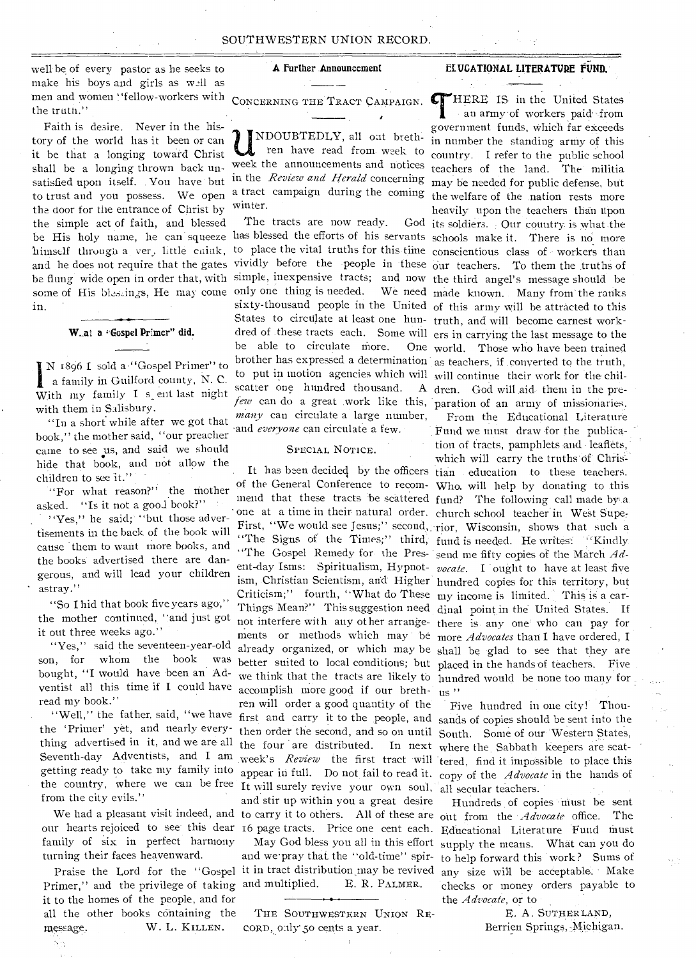well be of every pastor as he seeks to make his boys and girls as well as men and women ' 'fellow-workers with the truth.''

satisfied upon itself. You have but in the *Review and Herald* concerning to trust and you possess. We open a tract campaign during the coming be His holy name, he can squeeze has blessed the efforts of his servants schools make it. There is no more and he does not require that the gates vividly before the people in these our teachers. To them the truths of be flung wide open in order that, with simple, inexpensive tracts; and now the third angel's message should be some of His blessings, He may come only one thing is needed. We need made known. Many from the ranks Faith is desire. Never in the history of the world has it been or can it be that a longing toward Christ shall be a longing thrown back unthe door for the entrance of Christ by the simple act of faith, and blessed himself through a ver, little cnink, in.

#### W.at a "Gospel Primer" did.

1 N 1896 I sold a "Gospel Primer" to a family in Guilford county, N. C. With my family I s ent last night with them in Salisbury.

"In a short while after we got that book," the mother said, "our preacher came to see us, and said we should hide that book, and not allow the children to see it."

"For what reason?" the mother asked. "Is it not a good book?" '

"Yes," he said;' "but those advertisements in the back of the book will cause them to want more books, and the books advertised there are dangerous, and will lead your children astray."

"So I hid that book five years ago," the mother continued, "and just got it out three weeks ago."

"Yes," said the seventeen-year-old son, for whom the book bought, "I would have been an Adventist all this time if I could have read my book."

"Well," the father, said, "we have the 'Primer' yet, and nearly everything advertised in it, and we are all Seventh-day Adventists, and I am from the city evils."

family of six in perfect harmony turning their faces heavenward.

Primer," and the privilege of taking and multiplied. E. R. PALMER. it to the homes of the people, and for all the other books containing the message. W. L. KILLEN.

ŃĄ

#### A Further Announcement

UNDOUBTEDLY, all out breth-<br>ren have read from week to<br>week the announcements and notices NDOUBTEDLY, all oat brethren have read from week to winter.

The tracts are now ready. to place the vital truths for this time conscientious class of workers than States to circulate at least one hun-truth, and will become earnest workbe able to circulate more. brother has expressed a determination as teachers, if converted to the truth, to put in motion agencies which will will continue their work for the chilscatter one hundred thousand. *many* can circulate a large number, -and *everyone* can circulate a few.

#### SPECIAL NOTICE.

mend that these tracts be scattered fund? The following call made by a First, "We would see Jesus;" second, rior, Wisconsin, shows that such a "The Signs of the Times;" third, fund is needed. He writes: "Kindly "The Gospel Remedy for- the Pres-send me fifty copies of the March *Ad*ism, Christian Scientism, and Higher hundred copies for this territory, but Criticism;" fourth, "What do These my income is limited. This is a carments or methods which may be more *Advocates* than I have ordered, accomplish more good if our breth- us" ren will order a good quantity of the first and carry it to the people, and sands of copies should be sent into the then order the second, and so on until South. Some of our Western States, the four are distributed. In next where the. Sabbath keepers are scatweek's *Review* the first tract will tered, find it impossible to place this getting ready to take my family into appear in full. Do not fail to read it. copy of the *Advocate* in the hands of the country, where we can be free It will surely revive your own soul, all secular teachers. and stir up within you a great desire We had a pleasant visit indeed, and to carry it to others. All of these are out from the *Advocate* office. The our hearts rejoiced to see this dear 16 page tracts. Price one cent each. Educational Literature Fund must

and we pray that the "old-time" spir- to help forward this work? Sums of Praise the Lord for the "Gospel it in tract distribution may be revived any size will be acceptable. Make

> THE SOUTHWESTERN UNION REcorp, only 50 cents a year.

#### ELUCATIONAL LITERATURE FUND.

CONCERNING THE TRACT CAMPAIGN. THERE IS in the United States sixty-thousand people in the United of this army will be attracted to this dred of these tracts each. Some will ers in carrying the last message to the *few* can do a great work like this, paration of an army of missionaries. God its soldiers. Our country is what the an army of workers paid from government funds, Which far exceeds in number the standing army of this country. I refer to the public school teachers of the land. The militia may be needed for public defense, but the welfare of the nation rests more heavily upon the teachers than upon One world. Those who have been trained dren. God will aide them in the pre-

It has been decided by the officers tian education to these teachers. of the General Conference to recom-Who. will help by donating to this one at a time in their- natural order. church school teacher in West Supeent-day Isms: Spiritualism, Hypnot-*vocate.* I ought to have at least five Things Mean?" This suggestion need dinal point in the-United States. If not interfere with any other arrange- there is any one who can pay for already organized, or which may be shall be glad to see that they are better suited to local conditions; but placed in the hands of teachers. Five we think that the tracts are likely to hundred would be none too many for From the Educational Literature Fund we must draw for the publication of tracts, pamphlets and leaflets, which will carry the truths of Chris-

Five hundred in one city! Thou-

May God bless you all in this effort supply the means. What can you do Hundreds of copies must be sent checks or money orders payable to the *Advocate*, or to

> E. A. SUTHERLAND, Berrien Springs, Michigan.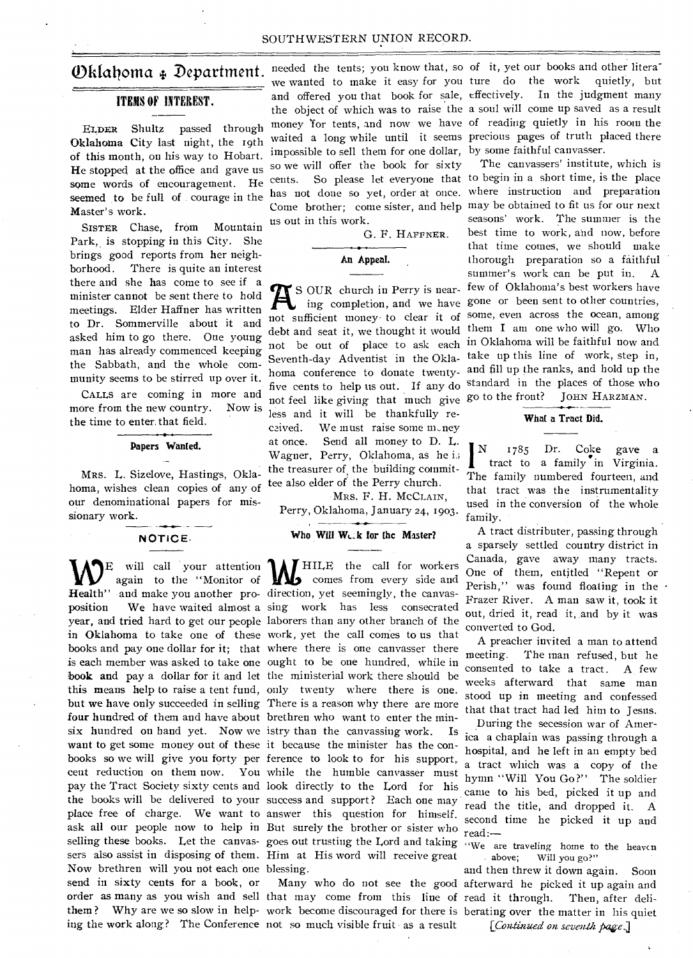#### ITEMS OF INTEREST.

Oklahoma City last night, the 19th of this month, on his way to Hobart. He stopped at the office and gave us  $^{50}$  We<br>some words of encouragement. He cents. some words of encouragement. He seemed to be full of courage in the Master's work.

SISTER Chase, from Mountain Park, is stopping in this City. She brings good reports from her neighborhood. There is quite an interest there and she has come to see if a minister cannot be sent there to hold meetings. Elder Haffner has written to Dr. Sommerville about it and asked him to go there. One young man has already commenced keeping the Sabbath, and the whole community seems to be stirred up over it.

CALLS are coming in more and more from the new country. Now is the time to enter. that field.

#### **Papers Wanted.**

MRS. L. Sizelove, Hastings, Oklahoma, wishes clean copies of any of our denominational papers for missionary work.

#### **NOTICE.**

 $\displaystyle\bigvee_{\text{Health}'}^{\text{E}}$ will call your attention **Health"** and make you another pro-direction, yet seemingly, the canvasposition We have waited almost a sing work has less consecrated year, and tried hard to get our people laborers than any other branch of the in Oklahoma to take one of these work, yet the call comes to us that books and pay one dollar for it; that where there is one canvasser there is each member was asked to take one ought to be one hundred, while in **book and** pay a dollar for it and let the ministerial work there should be this means help to raise a tent fund, only twenty where there is one. but we have only succeeded in selling There is a reason why there are more four hundred of them and have about brethren who want to enter the minsix hundred on hand yet. Now we istry than the canvassing work. Is want to get some money out of these it because the minister has the conbooks so we will give you forty per ference to look to for his support, cent reduction on them now. You while the humble canvasser must pay the Tract Society sixty cents and look directly to the Lord for his the books will be delivered to your success and support? Each one may place free of charge. We want to answer this question for himself. ask all our people now to help in But surely the brother or sister who selling these books. Let the canvas-goes out trusting the Lord and taking sers also assist in disposing of them. Him at His word will receive great Now brethren will you not each one blessing. send in sixty cents for a book, or order as many as you wish and sell that may come from this line of read it through. Then, after delithem ? Why are we so slow in help-work become discouraged for there is berating over the matter in his quiet ing the work along? The Conference not so much visible fruit - as a result

 $\mathbf{Dklaboma}$   $\ast$  Department. needed the tents; you know that, so of it, yet our books and other literaimpossible to sell them for one dollar, by some faithful canvasser. so we will offer the book for sixty us out in this work.

G. F. HAFFNER.

#### **An Appeal.**

not feel like giving that much give go to the front? JOHN HARZMAN. less and it will be thankfully recaived. We must raise some money at once. Send all money to D. L. Wagner, Perry, Oklahoma, as he i.; the treasurer of the building committee also elder of the Perry church.

MRS. F. H. MCCLAIN, Perry, Oklahoma, January 24, 1903.

#### Who Will Weak for the Master?

will call your attention **M**HILE the call for workers again to the "Monitor of comes from every side and

ELDER Shultz passed through money for tents, and now we have of reading quietly in his room the we wanted to make it easy for you ture do the work quietly, but and offered you that book for sale, effectively. In the judgment many the object of which was to raise the a soul will come up saved as a result waited a long while until it seems precious pages of truth placed there

> cents. So please let everyone that to begin in a short time, is the place has not done so yet, order at once. where instruction and preparation Come brother; come sister, and help may be obtained to fit us for our next S OUR church in Perry is near-few of Oklahoma's best workers have ing completion, and we have gone or been sent to other countries, not sufficient money to clear it of some, even across the ocean, among debt and seat it, we thought it would them **I** am one who will go. Who not be out of place to ask each in Oklahoma will be faithful now and Seventh-day Adventist in the Okla- take up this line of work, step in, homa conference to donate twenty-and fill up the ranks, and hold up the five cents to help us out. If any do standard in the places of those who The canvassers' institute, which is seasons' work. The summer is the best time to work, and now, before that time comes, we should make thorough preparation so a faithful summer's work can be put in. A

#### **What a Tract Did.**

**I** N 1785 Dr. Coke gave **<sup>a</sup>** tract to a family in Virginia. The family numbered fourteen, and that tract was the instrumentality used in the conversion of the whole family.

A tract distributer, passing through a sparsely settled country district in Canada, gave away many tracts. One of them, entitled "Repent or Perish," was found floating in the Frazer River. A man saw it, took it out, dried it, read it, and by it was converted to God.

A preacher invited a man to attend meeting. The man refused, but he consented to take a tract. A few weeks afterward that same man stood up in meeting and confessed that that tract had led him to Jesus.

During the secession war of America a chaplain was passing through a hospital, and he left in an empty bed a tract which was a copy of the hymn "Will You Go?" The soldier came to his bed, picked it up and read the title, and dropped it. A second time he picked it up and read:—

"We are traveling home to the heaven above; Will you go?" Will you go?"

Many who do not see the good afterward he picked it up again and and then threw it down again. Soon

[*Continued on seventh page*.]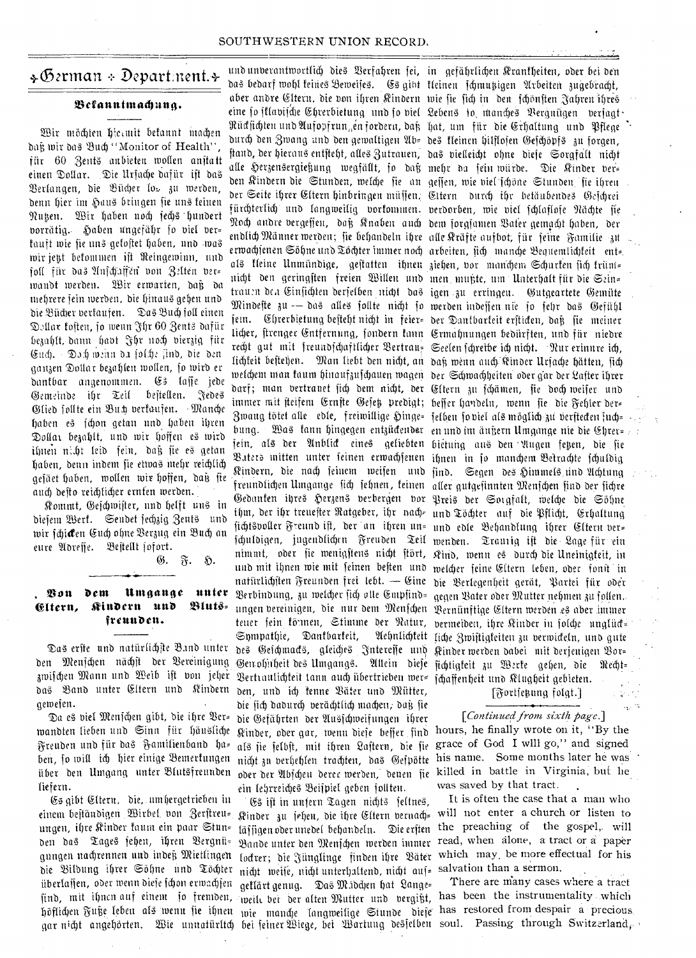### +German + Department.+

#### Befanntmachuna.

Wir möchten hiermit bekannt machen dağ wir das Buch "Monitor of Health" für 60 Zents anbieten wollen anstatt einen Dollar. Die Ursache dafür ist das Berlangen, die Bücher los zu werden, denn hier im Haus bringen sie uns feinen Nutzen. Wir haben noch sechs hundert vorrätig. Haben ungefähr so viel verkauft wie sie uns gekostet haben, und was wir jest bekommen ist Reingewinn, und foll für das Anschäffen von Zelten ver= wandt werden. Wir erwarten, daß da mehrere sein werden, die hinaus gehen und die Bücher verfaufen. Das Buch foll einen Dellar fosten, jo wenn Jhr 60 Zents dafür bezahlt, dann havt Jhr noch vierzig für Euch. Doch wenn da jolche find, die den ganzen Dollar bezahlen wollen, so wird er dantbar angenommen. Es lasse jede Gemeinde ihr Teil bestellen. Jedes Glied follte ein But verkaufen. Manche haben es schon getan und haben ihren Dollar bezahlt, und wir hoffen es wird ihnen nicht leid sein, daß sie es getan haben, denn indem sie etwas mehr reichlich gesäet haben, wollen wir hoffen, daß fie auch desto reichlicher ernten werden.

Kommt, Geschwister, und helft uns in diesem Werk. Sendet sechzig Zents und wir fcji**d**en Euch ohne Berzug ein Buch an eure Adresse. Bestellt fofort.

⊛.

 $\mathfrak{F}$ . 5.

Umgange unter You dem Bluts= Eltern, Kindern und freunden.

Das erste und natürlichste B.md unter den Menschen nächst der Vereinigung das Band unter Eltern und Kindern gewesen.

Da es viel Menschen gibt, die ihre Ver= wandten lieben und Sinn für häusliche Freuden und für das Familienband ha= ben, so will ich hier einige Bemerkungen über den Umgang unter Blutsfreunden liefern.

Es gibt Eltern, die, umhergetrieben in einem beständigen Wirbel von Zerstreu= ungen, ihre Kinder faum ein paar Stun= den das Tages sehen, ihren Bergnügungen nachrennen und indeß Mietlingen die Bildung ihrer Söhne und Töchter überlassen, oder wenn diese schon erwachsen find, mit ihnen auf einem fo fremden, weilt bei der alten Mutter und vergißt, has been the instrumentality which höflichen Fuße leben als wenn sie ihnen wie manche langweilige Stunde diese has restored from despair a precious gar nicht angehörten. Wie unnatürltch bei feiner Wiege, bei Wartung desfelben soul. Passing through Switzerland,

und unverantwortlich dies Verfahren sei, in gefährlichen Krantheiten, oder bei den das bedarf wohl teines Beweifes. Gs gibt kleinen schmutzigen Arbeiten zugebracht, aber andre Eltern, die von ihren Kindern wie sie sich in den schönsten Jahren ihres eine so sklavische Chrerbietung und so viel Lebens io manches Vergnügen versagt Rücksichten und Aufopfrungen fordern, daß hat, um für die Erhaltung und Pflege durch den Zwang und den gewaltigen Ab= des kleinen hilflosen Geschöpfs zu forgen, ftand, der hieraus entsteht, alles Zutrauen, das vielleicht ohne dieje Sorgfalt nicht alle Herzensergießung wegfällt, jo daß mehr da sein-würde. Die Kinder verden Kindern die Stunden, welche sie an gessen, wie viel schöne Stunden sie ihren der Seite ihrer Eltern hinbringen müffen, Eltern durch ihr betäubendes Gefchrei fürchterlich und langweilig vorkommen. verdorben, wie viel schlaflofe Nächte sie Noch andre vergeffen, daß Knaben anch dem sorgfamen Bater gemacht haben, der endlich Männer werden; sie behandeln ihre alle Kräfte aufbot, für seine Familie zu erwachsenen Söhne und Töchter immer noch arbeiten, sich manche Bequemlichkeit ent= als kleine Unmündige, gestatten ihnen ziehen, vor manchem Schurken sich krüm= nicht den geringsten freien Willen und men mußte, um Unterhalt für die Szin= trauen den Einsichten derfelben nicht das igen zu erringen. Gutgeartete Gemüte Mindeste zu -- das alles sollte nicht so werden indessen nie so sehr das Gefühl jein. Ehrerbietung bejteht nicht in feier= der Dantbarteit erfticten, daß fie meiner licher, firenger Entfernung, fondern tann Ermahnungen bedürften, und für niedre recht gut mit freundschaftlicher Bertrau= Seelen fchreibe ich nicht. Nur erinnre ich, lichteit bestehen. Man liebt den nicht, an daß wenn auch Kinder Urfache hätten, sich welchem man faum hinaufzufchauen wagen der Schwachheiten oder gar der Lafter ihrer darf; man vertranet fich dem nicht, der Eltern zu fchämen, fie doch weifer und immer mit steifem Ernste Gefeß predigt; beffer handeln, wenn sie die Fehler der= Zwaug tötet alle edle, freiwillige Hinge= felben fo viel als möglich zu verftecten such= bung. Was kann hingegen entzückender en und im änßern Umgange nie die Ehrer= jein, als der Anblick eines geliebten hietung aus den Augen fetzen, die fie Baters mitten unter feinen erwachsenen ihnen in so manchem Betrachte schuldig Kindern, die nach seinem weifen und sind. Segen des Himmels und Achtung freundlichen Umgange fich fehnen , feinen aller gutgefinnten Menfchen find der fichre Gedanten ihres Herzens verbergen vor Preis der Sorgfalt, welche die Söhne ihm, der ihr treuester Ratgeber, ihr nach- und Töchter auf die Pflicht, Erhaltung sichtsvoller Freund ist, der an ihren un= und edle Behandlung ihrer Eltern ver= schuldigen, jugendlichen Freuden Teil wenden. Trauzig ist die Lage für ein nimmt, oder sie wenigstens nicht stört, Kind, wenn es durch die Uneinigfeit, in und mit ihnen wie mit feinen besten und welcher seine Eltern leben, oder sonit in natürlichsten Freunden frei lebt. — Eine die Berlegenheit gerät, Partei für oder Berbindung, zu welcher sich alle Empfind= gegen Bater oder Mutter nehmen zu follen. ungen vereinigen, die nur dem Menschen Bernünftige Eltern werden es aber immer Sympathie, Dantbarteit, des Geichmads, gleiches Interesse und Kinder werden dabei mit derjenigen Bor= Gewohnheit des Umgangs. Allein diese sichtigkeit zu Werke gehen, die Recht= zwischen Mann und Weib ist von jeher Bertraulichteit tann auch übertrieben wer= schaffenheit und Klugheit gebieten. den, und ich kenne Bäter und Mütter, die sich dadurch verächtlich machen, daß sie die Gefährten der Ausschweifungen ihrer Kinder, oder gar, wenn diese besser find als jie selbst, mit ihren Lastern, die sie nicht zu verhehlen trachten, das Gespötte ein lehrreiches Beispiel geben sollten.

Es ist in unsern Tagen nichts jeltnes, Kinder zu sehen, die ihre Eltern vernach= Bande unter den Menschen werden immer read, when alone, a tract or a paper nicht weise, nicht unterhaltend, nicht auf= salvation than a sermon. geflärt genug. Das M.idden hat Lange=

teuer fein förmen, Stimme der Natur, vermeiden, ihre Kinder in folche unglück-Aehnlichkeit liche Zwistigkeiten zu verwickeln, und gute

[Fortsething folgt.]

#### [Continued from sixth page.]

hours, he finally wrote on it, "By the grace of God I will go," and signed his name. Some months later he was oder der Abscheu derer werden, denen fie killed in battle in Virginia, but he was saved by that tract.

It is often the case that a man who will not enter a church or listen to läffigen oder unedel behandeln. Die erften the preaching of the gospel, will loctrer; die Jünglinge finden ihre Bäter which may be more effectual for his

There are many cases where a tract